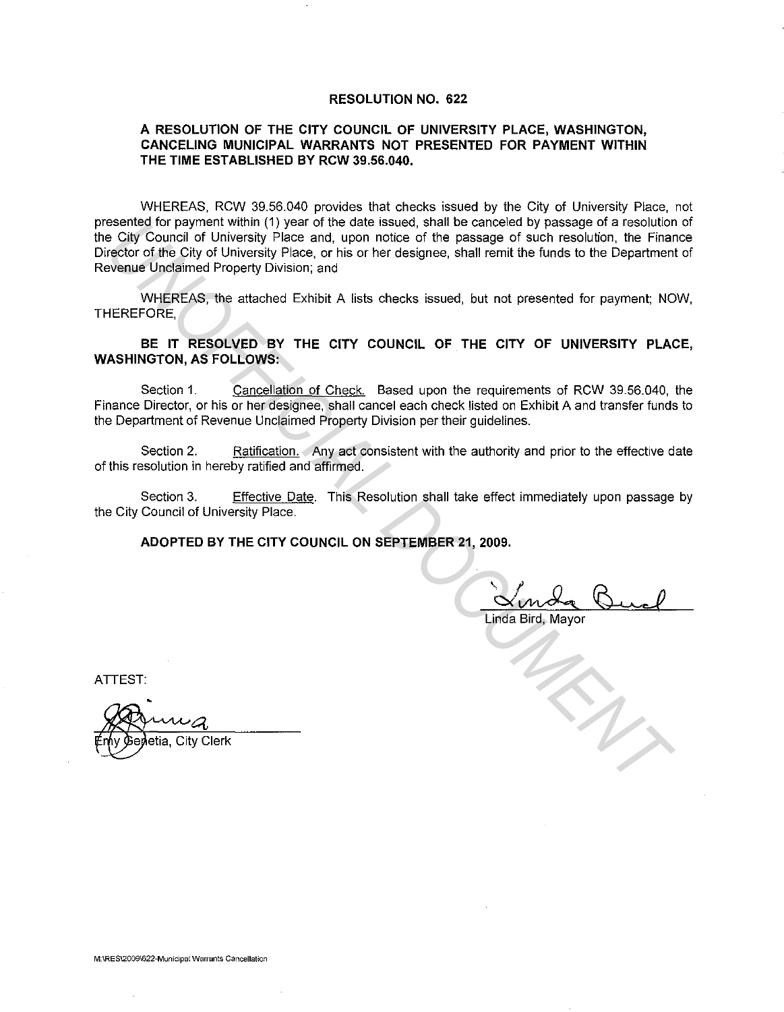#### **RESOLUTION NO. 622**

#### **A RESOLUTION OF THE CITY COUNCIL OF UNIVERSITY PLACE, WASHINGTON, CANCELING MUNICIPAL WARRANTS NOT PRESENTED FOR PAYMENT WITHIN THE TIME ESTABLISHED BY RCW 39.56.040.**

WHEREAS, RCW 39.56.040 provides that checks issued by the City of University Place, not presented for payment within (1) year of the date issued, shall be canceled by passage of a resolution of the City Council of University Place and, upon notice of the passage of such resolution, the Finance Director of the City of University Place, or his or her designee, shall remit the funds to the Department of Revenue Unclaimed Property Division; and essented tor payment within (1) year of the dissued, sinall be canceled by passage of such resolution. the Finance City Council of University Place and, upon notice of the passage of such resolution, the Finance of the pas

WHEREAS, the attached Exhibit A lists checks issued, but not presented for payment; NOW, THEREFORE,

## **BE IT RESOLVED BY THE CITY COUNCIL OF THE CITY OF UNIVERSITY PLACE, WASHINGTON, AS FOLLOWS:**

Section 1. Cancellation of Check. Based upon the requirements of RCW 39.56.040, the Finance Director, or his or her designee, shall cancel each check listed on Exhibit A and transfer funds to the Department of Revenue Unclaimed Property Division per their guidelines.

Section 2. Ratification. Any act consistent with the authority and prior to the effective date of this resolution in hereby ratified and affirmed.

Section 3. Effective Date. This Resolution shall take effect immediately upon passage by the City Council of University Place.

**ADOPTED BY THE CITY COUNCIL ON SEPTEMBER 21, 2009.** 

Linda Bird, Mayor

ATTEST:

etia, City Clerk